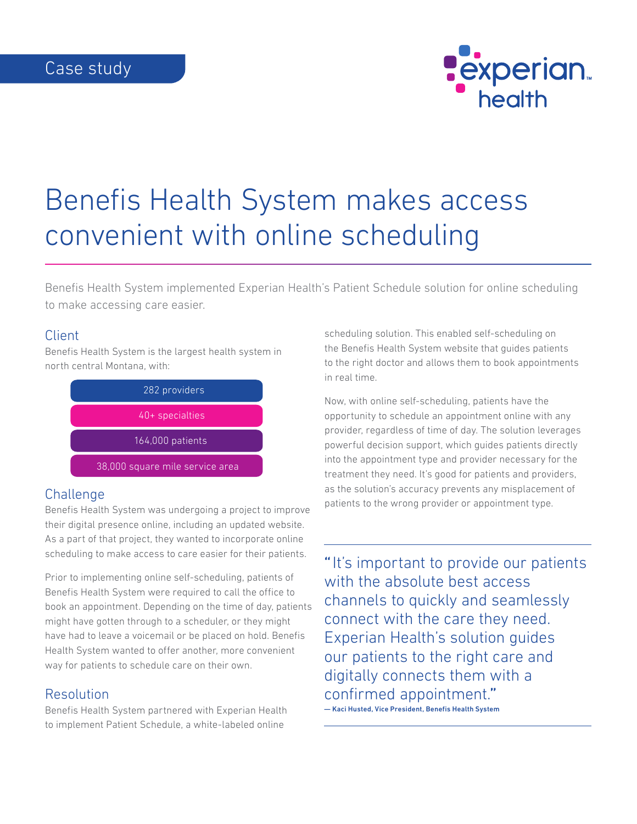

# Benefis Health System makes access convenient with online scheduling

Benefis Health System implemented Experian Health's Patient Schedule solution for online scheduling to make accessing care easier.

### Client

Benefis Health System is the largest health system in north central Montana, with:



# **Challenge**

Benefis Health System was undergoing a project to improve their digital presence online, including an updated website. As a part of that project, they wanted to incorporate online scheduling to make access to care easier for their patients.

Prior to implementing online self-scheduling, patients of Benefis Health System were required to call the office to book an appointment. Depending on the time of day, patients might have gotten through to a scheduler, or they might have had to leave a voicemail or be placed on hold. Benefis Health System wanted to offer another, more convenient way for patients to schedule care on their own.

# Resolution

Benefis Health System partnered with Experian Health to implement Patient Schedule, a white-labeled online

scheduling solution. This enabled self-scheduling on the Benefis Health System website that guides patients to the right doctor and allows them to book appointments in real time.

Now, with online self-scheduling, patients have the opportunity to schedule an appointment online with any provider, regardless of time of day. The solution leverages powerful decision support, which guides patients directly into the appointment type and provider necessary for the treatment they need. It's good for patients and providers, as the solution's accuracy prevents any misplacement of patients to the wrong provider or appointment type.

"It's important to provide our patients with the absolute best access channels to quickly and seamlessly connect with the care they need. Experian Health's solution guides our patients to the right care and digitally connects them with a confirmed appointment." — Kaci Husted, Vice President, Benefis Health System